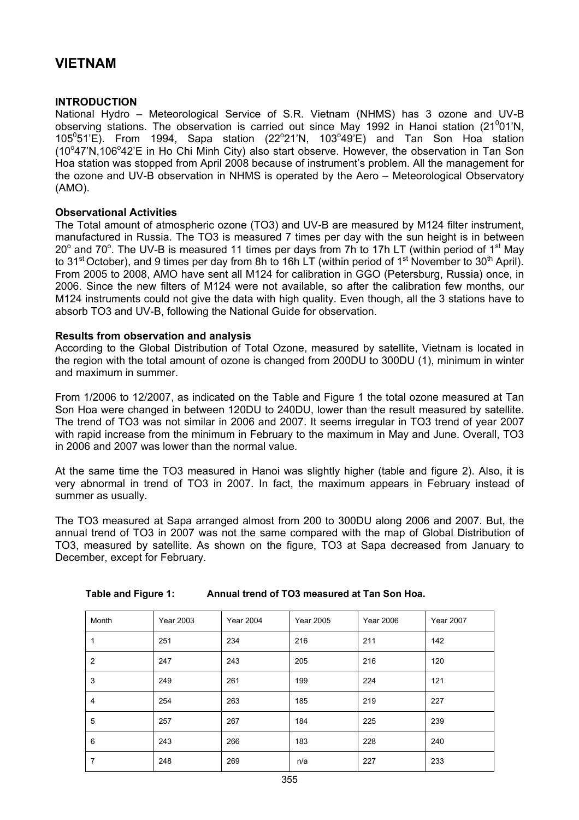# **VIETNAM**

# **INTRODUCTION**

National Hydro – Meteorological Service of S.R. Vietnam (NHMS) has 3 ozone and UV-B observing stations. The observation is carried out since May 1992 in Hanoi station (21 $^{0}$ 01'N,  $105^{\circ}51'E$ ). From 1994, Sapa station (22 $^{\circ}21'N$ , 103 $^{\circ}49'E$ ) and Tan Son Hoa station (10°47'N,106°42'E in Ho Chi Minh City) also start observe. However, the observation in Tan Son Hoa station was stopped from April 2008 because of instrument's problem. All the management for the ozone and UV-B observation in NHMS is operated by the Aero – Meteorological Observatory (AMO).

# **Observational Activities**

The Total amount of atmospheric ozone (TO3) and UV-B are measured by M124 filter instrument, manufactured in Russia. The TO3 is measured 7 times per day with the sun height is in between 20 $^{\circ}$  and 70 $^{\circ}$ . The UV-B is measured 11 times per days from 7h to 17h LT (within period of 1<sup>st</sup> May to 31<sup>st</sup> October), and 9 times per day from 8h to 16h LT (within period of 1<sup>st</sup> November to 30<sup>th</sup> April). From 2005 to 2008, AMO have sent all M124 for calibration in GGO (Petersburg, Russia) once, in 2006. Since the new filters of M124 were not available, so after the calibration few months, our M124 instruments could not give the data with high quality. Even though, all the 3 stations have to absorb TO3 and UV-B, following the National Guide for observation.

#### **Results from observation and analysis**

According to the Global Distribution of Total Ozone, measured by satellite, Vietnam is located in the region with the total amount of ozone is changed from 200DU to 300DU (1), minimum in winter and maximum in summer.

From 1/2006 to 12/2007, as indicated on the Table and Figure 1 the total ozone measured at Tan Son Hoa were changed in between 120DU to 240DU, lower than the result measured by satellite. The trend of TO3 was not similar in 2006 and 2007. It seems irregular in TO3 trend of year 2007 with rapid increase from the minimum in February to the maximum in May and June. Overall, TO3 in 2006 and 2007 was lower than the normal value.

At the same time the TO3 measured in Hanoi was slightly higher (table and figure 2). Also, it is very abnormal in trend of TO3 in 2007. In fact, the maximum appears in February instead of summer as usually.

The TO3 measured at Sapa arranged almost from 200 to 300DU along 2006 and 2007. But, the annual trend of TO3 in 2007 was not the same compared with the map of Global Distribution of TO3, measured by satellite. As shown on the figure, TO3 at Sapa decreased from January to December, except for February.

| Month          | <b>Year 2003</b> | <b>Year 2004</b> | <b>Year 2005</b> | <b>Year 2006</b> | <b>Year 2007</b> |
|----------------|------------------|------------------|------------------|------------------|------------------|
|                | 251              | 234              | 216              | 211              | 142              |
| $\overline{2}$ | 247              | 243              | 205              | 216              | 120              |
| 3              | 249              | 261              | 199              | 224              | 121              |
| 4              | 254              | 263              | 185              | 219              | 227              |
| 5              | 257              | 267              | 184              | 225              | 239              |
| 6              | 243              | 266              | 183              | 228              | 240              |
| 7              | 248              | 269              | n/a              | 227              | 233              |

# **Table and Figure 1: Annual trend of TO3 measured at Tan Son Hoa.**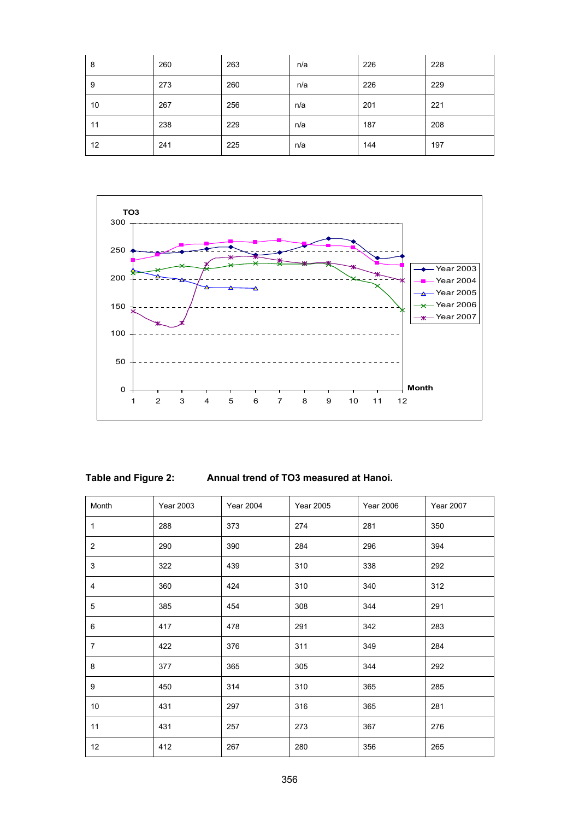| 8  | 260 | 263 | n/a | 226 | 228 |
|----|-----|-----|-----|-----|-----|
| 9  | 273 | 260 | n/a | 226 | 229 |
| 10 | 267 | 256 | n/a | 201 | 221 |
| 11 | 238 | 229 | n/a | 187 | 208 |
| 12 | 241 | 225 | n/a | 144 | 197 |



| Table and Figure 2: |  |  |
|---------------------|--|--|
|---------------------|--|--|

Annual trend of TO3 measured at Hanoi.

| Month          | Year 2003 | <b>Year 2004</b> | Year 2005 | <b>Year 2006</b> | <b>Year 2007</b> |
|----------------|-----------|------------------|-----------|------------------|------------------|
| 1              | 288       | 373              | 274       | 281              | 350              |
| $\overline{2}$ | 290       | 390              | 284       | 296              | 394              |
| 3              | 322       | 439              | 310       | 338              | 292              |
| 4              | 360       | 424              | 310       | 340              | 312              |
| 5              | 385       | 454              | 308       | 344              | 291              |
| 6              | 417       | 478              | 291       | 342              | 283              |
| $\overline{7}$ | 422       | 376              | 311       | 349              | 284              |
| 8              | 377       | 365              | 305       | 344              | 292              |
| 9              | 450       | 314              | 310       | 365              | 285              |
| 10             | 431       | 297              | 316       | 365              | 281              |
| 11             | 431       | 257              | 273       | 367              | 276              |
| 12             | 412       | 267              | 280       | 356              | 265              |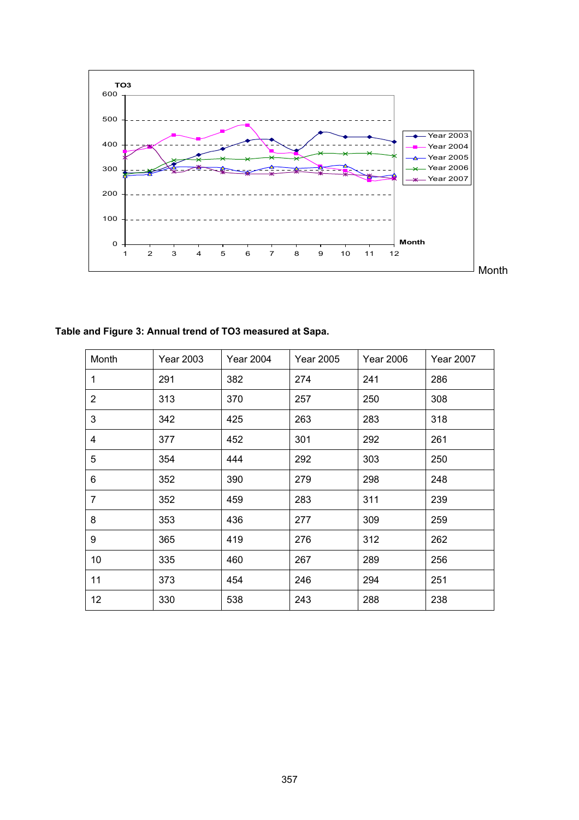

**Table and Figure 3: Annual trend of TO3 measured at Sapa.** 

| Month          | <b>Year 2003</b> | Year 2004 | Year 2005 | <b>Year 2006</b> | <b>Year 2007</b> |
|----------------|------------------|-----------|-----------|------------------|------------------|
| 1              | 291              | 382       | 274       | 241              | 286              |
| 2              | 313              | 370       | 257       | 250              | 308              |
| 3              | 342              | 425       | 263       | 283              | 318              |
| 4              | 377              | 452       | 301       | 292              | 261              |
| 5              | 354              | 444       | 292       | 303              | 250              |
| 6              | 352              | 390       | 279       | 298              | 248              |
| $\overline{7}$ | 352              | 459       | 283       | 311              | 239              |
| 8              | 353              | 436       | 277       | 309              | 259              |
| 9              | 365              | 419       | 276       | 312              | 262              |
| 10             | 335              | 460       | 267       | 289              | 256              |
| 11             | 373              | 454       | 246       | 294              | 251              |
| 12             | 330              | 538       | 243       | 288              | 238              |